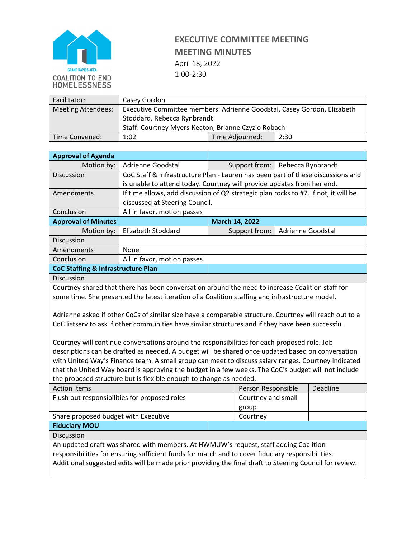

## **EXECUTIVE COMMITTEE MEETING MEETING MINUTES**

April 18, 2022 1:00-2:30

| Facilitator:              | Casey Gordon                                                            |                 |      |  |  |
|---------------------------|-------------------------------------------------------------------------|-----------------|------|--|--|
| <b>Meeting Attendees:</b> | Executive Committee members: Adrienne Goodstal, Casey Gordon, Elizabeth |                 |      |  |  |
|                           | Stoddard, Rebecca Rynbrandt                                             |                 |      |  |  |
|                           | Staff: Courtney Myers-Keaton, Brianne Czyzio Robach                     |                 |      |  |  |
| Time Convened:            | 1:02                                                                    | Time Adjourned: | 2:30 |  |  |

| <b>Approval of Agenda</b>                                                                                                                                                                                                                                                                                                                                                                                                                                                                                                                                                                                                                                                                             |                                                                                                  |                                    |                    |  |          |  |
|-------------------------------------------------------------------------------------------------------------------------------------------------------------------------------------------------------------------------------------------------------------------------------------------------------------------------------------------------------------------------------------------------------------------------------------------------------------------------------------------------------------------------------------------------------------------------------------------------------------------------------------------------------------------------------------------------------|--------------------------------------------------------------------------------------------------|------------------------------------|--------------------|--|----------|--|
| Motion by:                                                                                                                                                                                                                                                                                                                                                                                                                                                                                                                                                                                                                                                                                            | Adrienne Goodstal                                                                                | Rebecca Rynbrandt<br>Support from: |                    |  |          |  |
| Discussion                                                                                                                                                                                                                                                                                                                                                                                                                                                                                                                                                                                                                                                                                            | CoC Staff & Infrastructure Plan - Lauren has been part of these discussions and                  |                                    |                    |  |          |  |
|                                                                                                                                                                                                                                                                                                                                                                                                                                                                                                                                                                                                                                                                                                       | is unable to attend today. Courtney will provide updates from her end.                           |                                    |                    |  |          |  |
| Amendments                                                                                                                                                                                                                                                                                                                                                                                                                                                                                                                                                                                                                                                                                            | If time allows, add discussion of Q2 strategic plan rocks to #7. If not, it will be              |                                    |                    |  |          |  |
|                                                                                                                                                                                                                                                                                                                                                                                                                                                                                                                                                                                                                                                                                                       | discussed at Steering Council.                                                                   |                                    |                    |  |          |  |
| Conclusion                                                                                                                                                                                                                                                                                                                                                                                                                                                                                                                                                                                                                                                                                            | All in favor, motion passes                                                                      |                                    |                    |  |          |  |
| <b>Approval of Minutes</b>                                                                                                                                                                                                                                                                                                                                                                                                                                                                                                                                                                                                                                                                            |                                                                                                  |                                    | March 14, 2022     |  |          |  |
| Motion by:                                                                                                                                                                                                                                                                                                                                                                                                                                                                                                                                                                                                                                                                                            | <b>Elizabeth Stoddard</b>                                                                        | Support from:<br>Adrienne Goodstal |                    |  |          |  |
| Discussion                                                                                                                                                                                                                                                                                                                                                                                                                                                                                                                                                                                                                                                                                            |                                                                                                  |                                    |                    |  |          |  |
| Amendments                                                                                                                                                                                                                                                                                                                                                                                                                                                                                                                                                                                                                                                                                            | None                                                                                             |                                    |                    |  |          |  |
| Conclusion                                                                                                                                                                                                                                                                                                                                                                                                                                                                                                                                                                                                                                                                                            | All in favor, motion passes                                                                      |                                    |                    |  |          |  |
| <b>CoC Staffing &amp; Infrastructure Plan</b>                                                                                                                                                                                                                                                                                                                                                                                                                                                                                                                                                                                                                                                         |                                                                                                  |                                    |                    |  |          |  |
| Discussion                                                                                                                                                                                                                                                                                                                                                                                                                                                                                                                                                                                                                                                                                            |                                                                                                  |                                    |                    |  |          |  |
|                                                                                                                                                                                                                                                                                                                                                                                                                                                                                                                                                                                                                                                                                                       | Courtney shared that there has been conversation around the need to increase Coalition staff for |                                    |                    |  |          |  |
|                                                                                                                                                                                                                                                                                                                                                                                                                                                                                                                                                                                                                                                                                                       | some time. She presented the latest iteration of a Coalition staffing and infrastructure model.  |                                    |                    |  |          |  |
| Adrienne asked if other CoCs of similar size have a comparable structure. Courtney will reach out to a<br>CoC listserv to ask if other communities have similar structures and if they have been successful.<br>Courtney will continue conversations around the responsibilities for each proposed role. Job<br>descriptions can be drafted as needed. A budget will be shared once updated based on conversation<br>with United Way's Finance team. A small group can meet to discuss salary ranges. Courtney indicated<br>that the United Way board is approving the budget in a few weeks. The CoC's budget will not include<br>the proposed structure but is flexible enough to change as needed. |                                                                                                  |                                    |                    |  |          |  |
| <b>Action Items</b>                                                                                                                                                                                                                                                                                                                                                                                                                                                                                                                                                                                                                                                                                   |                                                                                                  |                                    | Person Responsible |  | Deadline |  |
| Flush out responsibilities for proposed roles                                                                                                                                                                                                                                                                                                                                                                                                                                                                                                                                                                                                                                                         |                                                                                                  |                                    | Courtney and small |  |          |  |
|                                                                                                                                                                                                                                                                                                                                                                                                                                                                                                                                                                                                                                                                                                       |                                                                                                  |                                    | group              |  |          |  |
| Share proposed budget with Executive                                                                                                                                                                                                                                                                                                                                                                                                                                                                                                                                                                                                                                                                  |                                                                                                  |                                    | Courtney           |  |          |  |
| <b>Fiduciary MOU</b>                                                                                                                                                                                                                                                                                                                                                                                                                                                                                                                                                                                                                                                                                  |                                                                                                  |                                    |                    |  |          |  |
| Discussion                                                                                                                                                                                                                                                                                                                                                                                                                                                                                                                                                                                                                                                                                            |                                                                                                  |                                    |                    |  |          |  |
| An updated draft was shared with members. At HWMUW's request, staff adding Coalition                                                                                                                                                                                                                                                                                                                                                                                                                                                                                                                                                                                                                  |                                                                                                  |                                    |                    |  |          |  |
| responsibilities for ensuring sufficient funds for match and to cover fiduciary responsibilities.                                                                                                                                                                                                                                                                                                                                                                                                                                                                                                                                                                                                     |                                                                                                  |                                    |                    |  |          |  |
| Additional suggested edits will be made prior providing the final draft to Steering Council for review.                                                                                                                                                                                                                                                                                                                                                                                                                                                                                                                                                                                               |                                                                                                  |                                    |                    |  |          |  |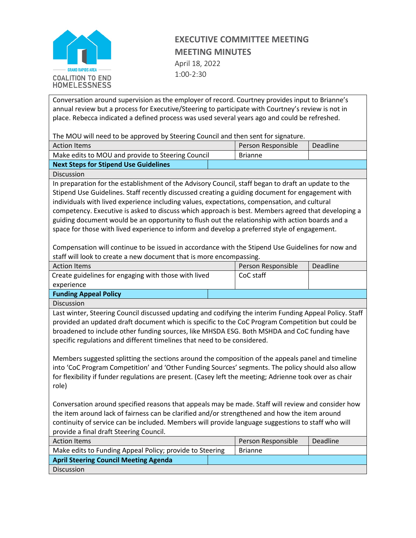

## **EXECUTIVE COMMITTEE MEETING MEETING MINUTES**

April 18, 2022 1:00-2:30

Conversation around supervision as the employer of record. Courtney provides input to Brianne's annual review but a process for Executive/Steering to participate with Courtney's review is not in place. Rebecca indicated a defined process was used several years ago and could be refreshed.

The MOU will need to be approved by Steering Council and then sent for signature.

| <b>Action Items</b>                               |  | Person Responsible | Deadline |
|---------------------------------------------------|--|--------------------|----------|
| Make edits to MOU and provide to Steering Council |  | <b>Brianne</b>     |          |
| Next Steps for Stipend Use Guidelines             |  |                    |          |

Discussion

In preparation for the establishment of the Advisory Council, staff began to draft an update to the Stipend Use Guidelines. Staff recently discussed creating a guiding document for engagement with individuals with lived experience including values, expectations, compensation, and cultural competency. Executive is asked to discuss which approach is best. Members agreed that developing a guiding document would be an opportunity to flush out the relationship with action boards and a space for those with lived experience to inform and develop a preferred style of engagement.

Compensation will continue to be issued in accordance with the Stipend Use Guidelines for now and staff will look to create a new document that is more encompassing.

| <b>Action Items</b>                                  |  | Person Responsible | <b>Deadline</b> |
|------------------------------------------------------|--|--------------------|-----------------|
| Create guidelines for engaging with those with lived |  | CoC staff          |                 |
| experience                                           |  |                    |                 |
| <b>Funding Appeal Policy</b>                         |  |                    |                 |
|                                                      |  |                    |                 |

Discussion

Last winter, Steering Council discussed updating and codifying the interim Funding Appeal Policy. Staff provided an updated draft document which is specific to the CoC Program Competition but could be broadened to include other funding sources, like MHSDA ESG. Both MSHDA and CoC funding have specific regulations and different timelines that need to be considered.

Members suggested splitting the sections around the composition of the appeals panel and timeline into 'CoC Program Competition' and 'Other Funding Sources' segments. The policy should also allow for flexibility if funder regulations are present. (Casey left the meeting; Adrienne took over as chair role)

Conversation around specified reasons that appeals may be made. Staff will review and consider how the item around lack of fairness can be clarified and/or strengthened and how the item around continuity of service can be included. Members will provide language suggestions to staff who will provide a final draft Steering Council.

| <b>Action Items</b>                                      |  | Person Responsible | <b>Deadline</b> |
|----------------------------------------------------------|--|--------------------|-----------------|
| Make edits to Funding Appeal Policy; provide to Steering |  | <b>Brianne</b>     |                 |
| <b>April Steering Council Meeting Agenda</b>             |  |                    |                 |
| <b>Discussion</b>                                        |  |                    |                 |